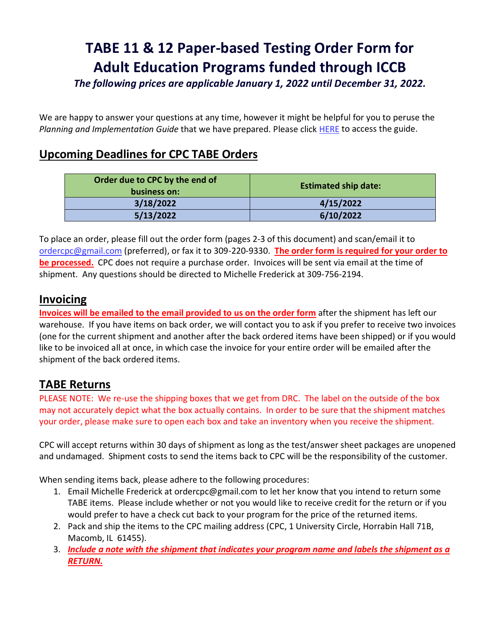# **TABE 11 & 12 Paper-based Testing Order Form for Adult Education Programs funded through ICCB**

*The following prices are applicable January 1, 2022 until December 31, 2022.*

We are happy to answer your questions at any time, however it might be helpful for you to peruse the *Planning and Implementation Guide* that we have prepared. Please click [HERE](https://www.iccb.org/iccb/wp-content/pdfs/adulted/professionaldevelopment/tabe_11-12/Planning_and_Implementation_TABE_11-12-revised-072418.pdf) to access the guide.

### **Upcoming Deadlines for CPC TABE Orders**

| Order due to CPC by the end of<br>business on: | <b>Estimated ship date:</b> |
|------------------------------------------------|-----------------------------|
| 3/18/2022                                      | 4/15/2022                   |
| 5/13/2022                                      | 6/10/2022                   |

To place an order, please fill out the order form (pages 2-3 of this document) and scan/email it to [ordercpc@gmail.com](mailto:ordercpc@gmail.com) (preferred), or fax it to 309-220-9330. **The order form is required for your order to be processed.** CPC does not require a purchase order. Invoices will be sent via email at the time of shipment. Any questions should be directed to Michelle Frederick at 309-756-2194.

#### **Invoicing**

**Invoices will be emailed to the email provided to us on the order form** after the shipment has left our warehouse. If you have items on back order, we will contact you to ask if you prefer to receive two invoices (one for the current shipment and another after the back ordered items have been shipped) or if you would like to be invoiced all at once, in which case the invoice for your entire order will be emailed after the shipment of the back ordered items.

### **TABE Returns**

PLEASE NOTE: We re-use the shipping boxes that we get from DRC. The label on the outside of the box may not accurately depict what the box actually contains. In order to be sure that the shipment matches your order, please make sure to open each box and take an inventory when you receive the shipment.

CPC will accept returns within 30 days of shipment as long as the test/answer sheet packages are unopened and undamaged. Shipment costs to send the items back to CPC will be the responsibility of the customer.

When sending items back, please adhere to the following procedures:

- 1. Email Michelle Frederick at ordercpc@gmail.com to let her know that you intend to return some TABE items. Please include whether or not you would like to receive credit for the return or if you would prefer to have a check cut back to your program for the price of the returned items.
- 2. Pack and ship the items to the CPC mailing address (CPC, 1 University Circle, Horrabin Hall 71B, Macomb, IL 61455).
- 3. *Include a note with the shipment that indicates your program name and labels the shipment as a RETURN.*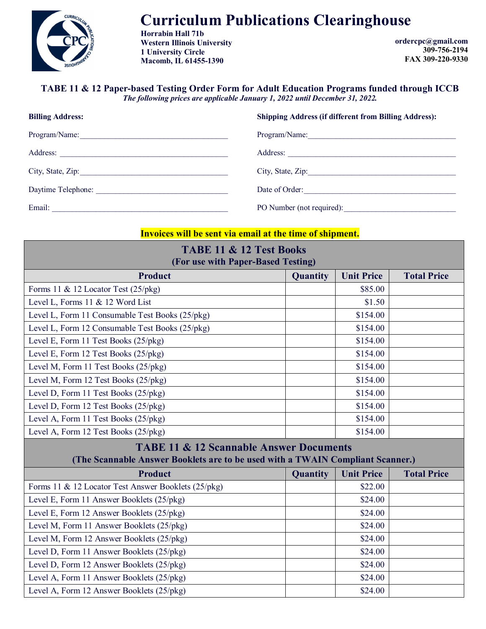

# **Curriculum Publications Clearinghouse**

**Horrabin Hall 71b Western Illinois University 1 University Circle Macomb, IL 61455-1390**

**ordercpc@gmail.com 309-756-2194 FAX 309-220-9330**

## **TABE 11 & 12 Paper-based Testing Order Form for Adult Education Programs funded through ICCB**

*The following prices are applicable January 1, 2022 until December 31, 2022.*

| <b>Billing Address:</b> | <b>Shipping Address (if different from Billing Address):</b> |  |  |
|-------------------------|--------------------------------------------------------------|--|--|
| Program/Name:           | Program/Name:                                                |  |  |
| Address:                | Address:                                                     |  |  |
| City, State, Zip:       |                                                              |  |  |
| Daytime Telephone:      | Date of Order:                                               |  |  |
| Email:                  | PO Number (not required):                                    |  |  |

#### **Invoices will be sent via email at the time of shipment.**

| <b>TABE 11 &amp; 12 Test Books</b><br>(For use with Paper-Based Testing)                                                             |          |                   |                    |  |  |
|--------------------------------------------------------------------------------------------------------------------------------------|----------|-------------------|--------------------|--|--|
| <b>Product</b>                                                                                                                       | Quantity | <b>Unit Price</b> | <b>Total Price</b> |  |  |
| Forms 11 & 12 Locator Test (25/pkg)                                                                                                  |          | \$85.00           |                    |  |  |
| Level L, Forms 11 & 12 Word List                                                                                                     |          | \$1.50            |                    |  |  |
| Level L, Form 11 Consumable Test Books (25/pkg)                                                                                      |          | \$154.00          |                    |  |  |
| Level L, Form 12 Consumable Test Books (25/pkg)                                                                                      |          | \$154.00          |                    |  |  |
| Level E, Form 11 Test Books (25/pkg)                                                                                                 |          | \$154.00          |                    |  |  |
| Level E, Form 12 Test Books (25/pkg)                                                                                                 |          | \$154.00          |                    |  |  |
| Level M, Form 11 Test Books (25/pkg)                                                                                                 |          | \$154.00          |                    |  |  |
| Level M, Form 12 Test Books (25/pkg)                                                                                                 |          | \$154.00          |                    |  |  |
| Level D, Form 11 Test Books (25/pkg)                                                                                                 |          | \$154.00          |                    |  |  |
| Level D, Form 12 Test Books (25/pkg)                                                                                                 |          | \$154.00          |                    |  |  |
| Level A, Form 11 Test Books (25/pkg)                                                                                                 |          | \$154.00          |                    |  |  |
| Level A, Form 12 Test Books (25/pkg)                                                                                                 |          | \$154.00          |                    |  |  |
| <b>TABE 11 &amp; 12 Scannable Answer Documents</b><br>(The Scannable Answer Booklets are to be used with a TWAIN Compliant Scanner.) |          |                   |                    |  |  |
| <b>Product</b>                                                                                                                       | Quantity | <b>Unit Price</b> | <b>Total Price</b> |  |  |
| Forms 11 & 12 Locator Test Answer Booklets (25/pkg)                                                                                  |          | \$22.00           |                    |  |  |
| Level E, Form 11 Answer Booklets (25/pkg)                                                                                            |          | \$24.00           |                    |  |  |
| Level E, Form 12 Answer Booklets (25/pkg)                                                                                            |          | \$24.00           |                    |  |  |
| Level M, Form 11 Answer Booklets (25/pkg)                                                                                            |          | \$24.00           |                    |  |  |
| Level M, Form 12 Answer Booklets (25/pkg)                                                                                            |          | \$24.00           |                    |  |  |
| Level D, Form 11 Answer Booklets (25/pkg)                                                                                            |          | \$24.00           |                    |  |  |
| Level D, Form 12 Answer Booklets (25/pkg)                                                                                            |          | \$24.00           |                    |  |  |
| Level A, Form 11 Answer Booklets (25/pkg)                                                                                            |          | \$24.00           |                    |  |  |
| Level A, Form 12 Answer Booklets (25/pkg)                                                                                            |          | \$24.00           |                    |  |  |